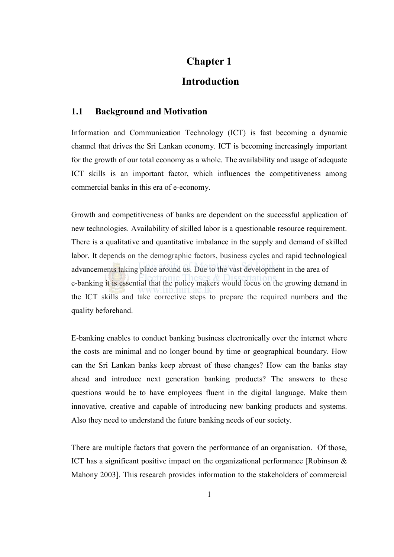# Chapter 1

## Introduction

## 1.1 Background and Motivation

Information and Communication Technology (ICT) is fast becoming a dynamic channel that drives the Sri Lankan economy. ICT is becoming increasingly important for the growth of our total economy as a whole. The availability and usage of adequate ICT skills is an important factor, which influences the competitiveness among commercial banks in this era of e-economy.

Growth and competitiveness of banks are dependent on the successful application of new technologies. Availability of skilled labor is a questionable resource requirement. There is a qualitative and quantitative imbalance in the supply and demand of skilled labor. It depends on the demographic factors, business cycles and rapid technological advancements taking place around us. Due to the vast development in the area of e-banking it is essential that the policy makers would focus on the growing demand in the ICT skills and take corrective steps to prepare the required numbers and the quality beforehand.

E-banking enables to conduct banking business electronically over the internet where the costs are minimal and no longer bound by time or geographical boundary. How can the Sri Lankan banks keep abreast of these changes? How can the banks stay ahead and introduce next generation banking products? The answers to these questions would be to have employees fluent in the digital language. Make them innovative, creative and capable of introducing new banking products and systems. Also they need to understand the future banking needs of our society.

There are multiple factors that govern the performance of an organisation. Of those, ICT has a significant positive impact on the organizational performance [Robinson & Mahony 2003]. This research provides information to the stakeholders of commercial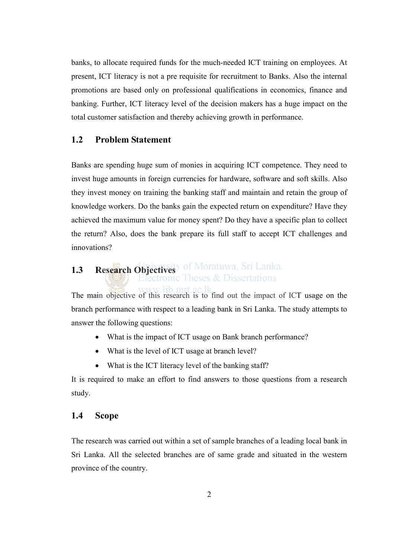banks, to allocate required funds for the much-needed ICT training on employees. At present, ICT literacy is not a pre requisite for recruitment to Banks. Also the internal promotions are based only on professional qualifications in economics, finance and banking. Further, ICT literacy level of the decision makers has a huge impact on the total customer satisfaction and thereby achieving growth in performance.

### 1.2 Problem Statement

Banks are spending huge sum of monies in acquiring ICT competence. They need to invest huge amounts in foreign currencies for hardware, software and soft skills. Also they invest money on training the banking staff and maintain and retain the group of knowledge workers. Do the banks gain the expected return on expenditure? Have they achieved the maximum value for money spent? Do they have a specific plan to collect the return? Also, does the bank prepare its full staff to accept ICT challenges and innovations?

# **1.3 Research Objectives** of Moratuwa, Sri Lanka.

The main objective of this research is to find out the impact of ICT usage on the branch performance with respect to a leading bank in Sri Lanka. The study attempts to answer the following questions:

- What is the impact of ICT usage on Bank branch performance?
- What is the level of ICT usage at branch level?
- What is the ICT literacy level of the banking staff?

It is required to make an effort to find answers to those questions from a research study.

#### 1.4 Scope

The research was carried out within a set of sample branches of a leading local bank in Sri Lanka. All the selected branches are of same grade and situated in the western province of the country.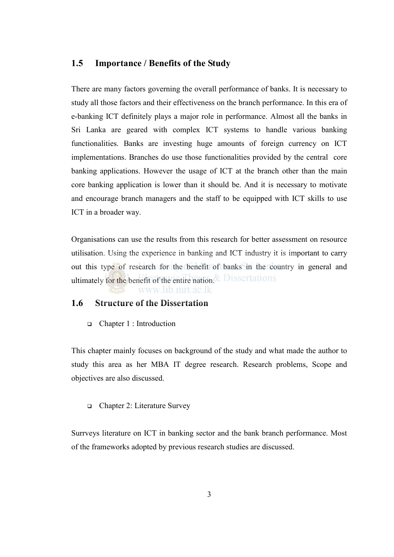## 1.5 Importance / Benefits of the Study

There are many factors governing the overall performance of banks. It is necessary to study all those factors and their effectiveness on the branch performance. In this era of e-banking ICT definitely plays a major role in performance. Almost all the banks in Sri Lanka are geared with complex ICT systems to handle various banking functionalities. Banks are investing huge amounts of foreign currency on ICT implementations. Branches do use those functionalities provided by the central core banking applications. However the usage of ICT at the branch other than the main core banking application is lower than it should be. And it is necessary to motivate and encourage branch managers and the staff to be equipped with ICT skills to use ICT in a broader way.

Organisations can use the results from this research for better assessment on resource utilisation. Using the experience in banking and ICT industry it is important to carry out this type of research for the benefit of banks in the country in general and ultimately for the benefit of the entire nation. **Dissertations** 

www lib mrt ac lk

## 1.6 Structure of the Dissertation

□ Chapter 1 : Introduction

This chapter mainly focuses on background of the study and what made the author to study this area as her MBA IT degree research. Research problems, Scope and objectives are also discussed.

#### Chapter 2: Literature Survey

Surrveys literature on ICT in banking sector and the bank branch performance. Most of the frameworks adopted by previous research studies are discussed.